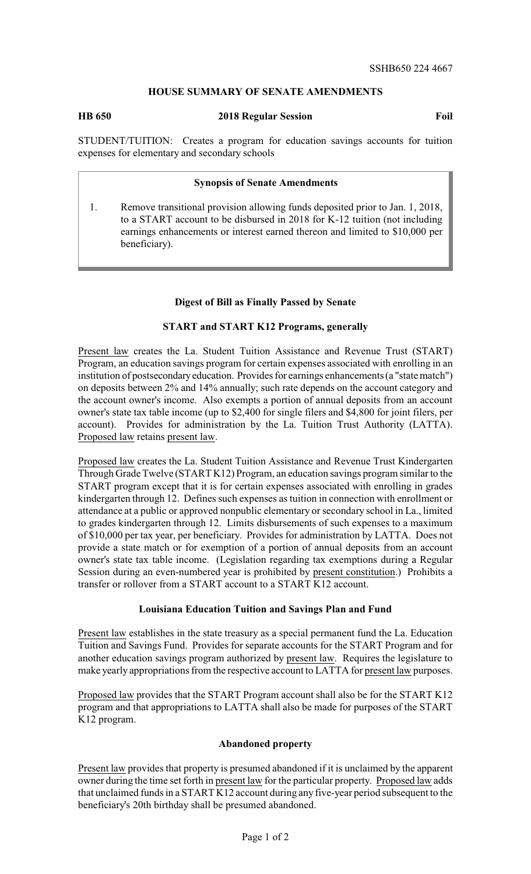# **HOUSE SUMMARY OF SENATE AMENDMENTS**

**HB 650 2018 Regular Session Foil**

STUDENT/TUITION: Creates a program for education savings accounts for tuition expenses for elementary and secondary schools

### **Synopsis of Senate Amendments**

1. Remove transitional provision allowing funds deposited prior to Jan. 1, 2018, to a START account to be disbursed in 2018 for K-12 tuition (not including earnings enhancements or interest earned thereon and limited to \$10,000 per beneficiary).

## **Digest of Bill as Finally Passed by Senate**

### **START and START K12 Programs, generally**

Present law creates the La. Student Tuition Assistance and Revenue Trust (START) Program, an education savings program for certain expenses associated with enrolling in an institution of postsecondaryeducation. Provides for earnings enhancements (a "state match") on deposits between 2% and 14% annually; such rate depends on the account category and the account owner's income. Also exempts a portion of annual deposits from an account owner's state tax table income (up to \$2,400 for single filers and \$4,800 for joint filers, per account). Provides for administration by the La. Tuition Trust Authority (LATTA). Proposed law retains present law.

Proposed law creates the La. Student Tuition Assistance and Revenue Trust Kindergarten Through Grade Twelve (START K12) Program, an education savings program similar to the START program except that it is for certain expenses associated with enrolling in grades kindergarten through 12. Defines such expenses as tuition in connection with enrollment or attendance at a public or approved nonpublic elementary or secondary school in La., limited to grades kindergarten through 12. Limits disbursements of such expenses to a maximum of \$10,000 per tax year, per beneficiary. Provides for administration by LATTA. Does not provide a state match or for exemption of a portion of annual deposits from an account owner's state tax table income. (Legislation regarding tax exemptions during a Regular Session during an even-numbered year is prohibited by present constitution.) Prohibits a transfer or rollover from a START account to a START K12 account.

### **Louisiana Education Tuition and Savings Plan and Fund**

Present law establishes in the state treasury as a special permanent fund the La. Education Tuition and Savings Fund. Provides for separate accounts for the START Program and for another education savings program authorized by present law. Requires the legislature to make yearly appropriations from the respective account to LATTA for present law purposes.

Proposed law provides that the START Program account shall also be for the START K12 program and that appropriations to LATTA shall also be made for purposes of the START K12 program.

# **Abandoned property**

Present law provides that property is presumed abandoned if it is unclaimed by the apparent owner during the time set forth in present law for the particular property. Proposed law adds that unclaimed funds in a START K12 account during any five-year period subsequent to the beneficiary's 20th birthday shall be presumed abandoned.